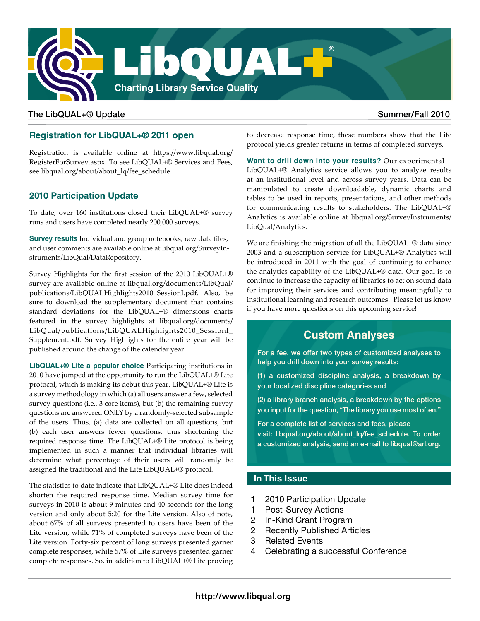

## The LibQUAL+® Update Summer/Fall 2010

# **Registration for LibQUAL+® 2011 open**

[Registration is available online at https://www.libqual.org/](http://www.libqual.org/RegisterForSurvey.aspx) [RegisterForSurvey.aspx](http://www.libqual.org/RegisterForSurvey.aspx). To see [LibQUAL+® Services and Fees,](http://libqual.org/about/about_lq/fee_schedule)  [see libqual.org/about/about\\_lq/fee\\_schedule.](http://libqual.org/about/about_lq/fee_schedule) 

# **2010 Participation Update**

To date, over 160 institutions closed their LibQUAL+® survey runs and users have completed nearly 200,000 surveys.

**Survey results** [Individual and group notebooks, raw data files,](http://libqual.org/SurveyInstruments/LibQual/DataRepository.aspx)  [and user comments are available online at libqual.org/SurveyIn](http://libqual.org/SurveyInstruments/LibQual/DataRepository.aspx)[struments/LibQual/DataRepository.](http://libqual.org/SurveyInstruments/LibQual/DataRepository.aspx)

[Survey Highlights for the first session of the 2010 LibQUAL+®](http://libqual.org/documents/LibQual/publications/LibQUALHighlights2010_SessionI.pdf)  [survey are available online at libqual.org/documents/LibQual/](http://libqual.org/documents/LibQual/publications/LibQUALHighlights2010_SessionI.pdf) [publications/LibQUALHighlights2010\\_SessionI.pdf.](http://libqual.org/documents/LibQual/publications/LibQUALHighlights2010_SessionI.pdf) Also, be sure to [download the supplementary document that contains](http://libqual.org/documents/LibQual/publications/LibQUALHighlights2010_SessionI_Supplement.pdf) [standard deviations for the LibQUAL+® dimensions charts](http://libqual.org/documents/LibQual/publications/LibQUALHighlights2010_SessionI_Supplement.pdf)  [featured in the survey highlights at libqual.org/documents/](http://libqual.org/documents/LibQual/publications/LibQUALHighlights2010_SessionI_Supplement.pdf) [LibQual/publications/LibQUALHighlights2010\\_SessionI\\_](http://libqual.org/documents/LibQual/publications/LibQUALHighlights2010_SessionI_Supplement.pdf) [Supplement.pdf.](http://libqual.org/documents/LibQual/publications/LibQUALHighlights2010_SessionI_Supplement.pdf) Survey Highlights for the entire year will be published around the change of the calendar year.

**LibQUAL+® Lite a popular choice** Participating institutions in 2010 have jumped at the opportunity to run the LibQUAL+® Lite protocol, which is making its debut this year. LibQUAL+® Lite is a survey methodology in which (a) all users answer a few, selected survey questions (i.e., 3 core items), but (b) the remaining survey questions are answered ONLY by a randomly-selected subsample of the users. Thus, (a) data are collected on all questions, but (b) each user answers fewer questions, thus shortening the required response time. The LibQUAL+® Lite protocol is being implemented in such a manner that individual libraries will determine what percentage of their users will randomly be assigned the traditional and the Lite LibQUAL+® protocol.

The statistics to date indicate that LibQUAL+® Lite does indeed shorten the required response time. Median survey time for surveys in 2010 is about 9 minutes and 40 seconds for the long version and only about 5:20 for the Lite version. Also of note, about 67% of all surveys presented to users have been of the Lite version, while 71% of completed surveys have been of the Lite version. Forty-six percent of long surveys presented garner complete responses, while 57% of Lite surveys presented garner complete responses. So, in addition to LibQUAL+® Lite proving to decrease response time, these numbers show that the Lite protocol yields greater returns in terms of completed surveys.

**Want to drill down into your results?** Our experimental LibQUAL+® Analytics service allows you to analyze results at an institutional level and across survey years. Data can be manipulated to create downloadable, dynamic charts and tables to be used in reports, presentations, and other methods for communicating results to stakeholders. The LibQUAL+® Analytics is available online a[t libqual.org/SurveyInstruments/](http:// libqual.org/SurveyInstruments/LibQual/Analytics) [LibQual/Analytics.](http:// libqual.org/SurveyInstruments/LibQual/Analytics)

We are finishing the migration of all the LibQUAL+® data since 2003 and a subscription service for LibQUAL+® Analytics will be introduced in 2011 with the goal of continuing to enhance the analytics capability of the LibQUAL+® data. Our goal is to continue to increase the capacity of libraries to act on sound data for improving their services and contributing meaningfully to institutional learning and research outcomes. Please let us know if you have more questions on this upcoming service!

# **Custom Analyses**

For a fee, we offer two types of customized analyses to help you drill down into your survey results:

(1) a customized discipline analysis, a breakdown by your localized discipline categories and

(2) a library branch analysis, a breakdown by the options you input for the question, "The library you use most often."

[For a complete list of services and fees, please](http://libqual.org/about/about_lq/fee_schedule)  visit: libqual.org/about/about lq/fee\_schedule. To order a customized analysis, send an e-mail to libqual@arl.org.

# **In This Issue**

- 1 2010 Participation Update
- 1 Post-Survey Actions
- 2 In-Kind Grant Program
- 2 Recently Published Articles
- 3 Related Events
- 4 Celebrating a successful Conference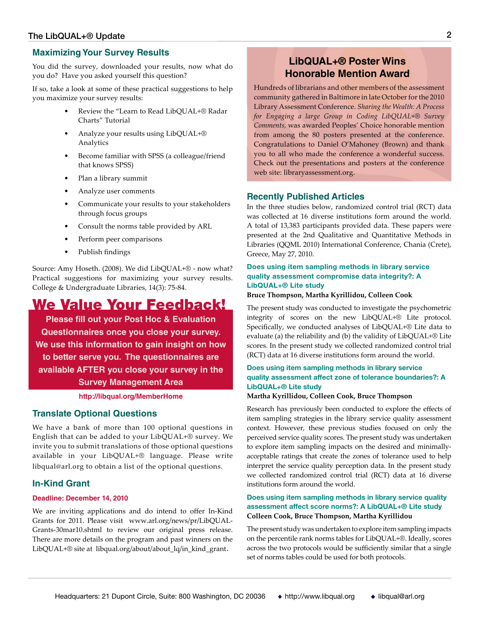### **Maximizing Your Survey Results**

You did the survey, downloaded your results, now what do you do? Have you asked yourself this question?

If so, take a look at some of these practical suggestions to help you maximize your survey results:

- Review the "Learn to Read LibQUAL+® Radar Charts" Tutorial
- Analyze your results using LibQUAL+® Analytics
- Become familiar with SPSS (a colleague/friend that knows SPSS)
- Plan a library summit
- Analyze user comments
- Communicate your results to your stakeholders through focus groups
- Consult the norms table provided by ARL
- Perform peer comparisons
- Publish findings

Source: Amy Hoseth. (2008). We did LibQUAL+® - now what? Practical suggestions for maximizing your survey results. College & Undergraduate Libraries, 14(3): 75-84.

# We Value Your Feedback!

**Please fill out your Post Hoc & Evaluation Questionnaires once you close your survey. We use this information to gain insight on how to better serve you. The questionnaires are available AFTER you close your survey in the Survey Management Area** 

#### **<http://libqual.org/MemberHome>**

### **Translate Optional Questions**

We have a bank of more than 100 optional questions in English that can be added to your LibQUAL+® survey. We invite you to submit translations of those optional questions available in your LibQUAL+® language. Please write libqual@arl.org to obtain a list of the optional questions.

### **[In-Kind Grant](http://www.arl.org/news/pr/LibQUAL-Grants-30mar10.shtml)**

#### **[Deadline: December 14, 2010](http://www.arl.org/news/pr/LibQUAL-Grants-30mar10.shtml)**

[We are inviting applications and do intend to offer In-Kind](http://www.arl.org/news/pr/LibQUAL-Grants-30mar10.shtml) [Grants for 2011. Please visit www.arl.org/news/pr/LibQUAL-](http://www.arl.org/news/pr/LibQUAL-Grants-30mar10.shtml)[Grants-30mar10.shtml](http://www.arl.org/news/pr/LibQUAL-Grants-30mar10.shtml) to review our original press release. There are more details on the program and past winners on the LibQUAL+® site at [libqual.org/about/about\\_lq/in\\_kind\\_grant](http://libqual.org/about/about_lq/in_kind_grant).

# **[LibQUAL+® Poster Wins](http://libraryassessment.org)  [Honorable Mention Award](http://libraryassessment.org)**

Hundreds of librarians and other members of the assessment community gathered in Baltimore in late October for the 2010 Library Assessment Conference. *Sharing the Wealth: A Process for Engaging a large Group in Coding LibQUAL+® Survey Comments,* was awarded Peoples' Choice honorable mention from among the 80 posters presented at the conference. Congratulations to Daniel O'Mahoney (Brown) and thank you to all who made the conference a wonderful success. Check out the presentations and posters at the conference web site: libraryassessment.org.

#### **Recently Published Articles**

In the three studies below, randomized control trial (RCT) data was collected at 16 diverse institutions form around the world. A total of 13,383 participants provided data. These papers were presented at the 2nd Qualitative and Quantitative Methods in Libraries (QQML 2010) International Conference, Chania (Crete), Greece, May 27, 2010.

#### **[Does using item sampling methods in library service](http://libqual.org/documents/LibQual/publications/lq_gr_1.pdf)  [quality assessment compromise data integrity?: A](http://libqual.org/documents/LibQual/publications/lq_gr_1.pdf)  [LibQUAL+® Lite study](http://libqual.org/documents/LibQual/publications/lq_gr_1.pdf)**

#### **Bruce Thompson, Martha Kyrillidou, Colleen Cook**

The present study was conducted to investigate the psychometric integrity of scores on the new LibQUAL+® Lite protocol. Specifically, we conducted analyses of LibQUAL+® Lite data to evaluate (a) the reliability and (b) the validity of LibQUAL+® Lite scores. In the present study we collected randomized control trial (RCT) data at 16 diverse institutions form around the world.

#### **[Does using item sampling methods in library service](http://libqual.org/documents/LibQual/publications/lq_gr_2.pdf)  [quality assessment affect zone of tolerance boundaries?: A](http://libqual.org/documents/LibQual/publications/lq_gr_2.pdf)  [LibQUAL+® Lite study](http://libqual.org/documents/LibQual/publications/lq_gr_2.pdf)**

#### **Martha Kyrillidou, Colleen Cook, Bruce Thompson**

Research has previously been conducted to explore the effects of item sampling strategies in the library service quality assessment context. However, these previous studies focused on only the perceived service quality scores. The present study was undertaken to explore item sampling impacts on the desired and minimallyacceptable ratings that create the zones of tolerance used to help interpret the service quality perception data. In the present study we collected randomized control trial (RCT) data at 16 diverse institutions form around the world.

#### **[Does using item sampling methods in library service quality](http://libqual.org/documents/LibQual/publications/lq_gr_3.pdf)  [assessment affect score norms?: A LibQUAL+® Lite study](http://libqual.org/documents/LibQual/publications/lq_gr_3.pdf)  Colleen Cook, Bruce Thompson, Martha Kyrillidou**

The present study was undertaken to explore item sampling impacts on the percentile rank norms tables for LibQUAL+®. Ideally, scores across the two protocols would be sufficiently similar that a single set of norms tables could be used for both protocols.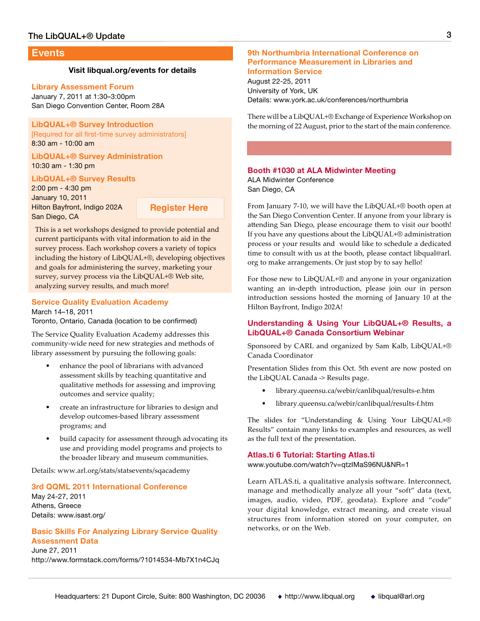#### **Events**

#### **[Visit libqual.org/events for details](http://www.libqual.org/events)**

#### **Library Assessment Forum**

January 7, 2011 at 1:30–3:00pm San Diego Convention Center, Room 28A

#### **[LibQUAL+® Survey Introduction](http://www.libqual.org/about/about_lq/training_programs)**

[\[Required for all first-time survey administrators\]](http://www.libqual.org/about/about_lq/training_programs) [8:30 am - 10:00 am](http://www.libqual.org/about/about_lq/training_programs)

**[LibQUAL+® Survey Administration](http://www.libqual.org/about/about_lq/training_programs)** [10:30 am - 1:30 pm](http://www.libqual.org/about/about_lq/training_programs)

**[LibQUAL+® Survey Results](http://www.libqual.org/about/about_lq/training_programs)**

[2:00 pm - 4:30 pm](http://www.libqual.org/about/about_lq/training_programs) [January 10, 2011](http://www.libqual.org/about/about_lq/training_programs) [Hilton Bayfront, Indigo 202A](http://www.libqual.org/about/about_lq/training_programs) [San Diego, CA](http://www.libqual.org/about/about_lq/training_programs)

**[Register Here](http://www.formstack.com/forms/?978877-Kcf6jApUKB)**

This is a set workshops designed to provide potential and current participants with vital information to aid in the survey process. Each workshop covers a variety of topics including the history of LibQUAL+®, developing objectives and goals for administering the survey, marketing your survey, survey process via the LibQUAL+® Web site, analyzing survey results, and much more!

# **[Service Quality Evaluation Academy]( http://www.arl.org/stats/statsevents/sqacademy)**

[March 14–18, 2011]( http://www.arl.org/stats/statsevents/sqacademy) [Toronto, Ontario, Canada \(location to be confirmed\)]( http://www.arl.org/stats/statsevents/sqacademy)

[The Service Quality Evaluation Academy addresses this]( http://www.arl.org/stats/statsevents/sqacademy)  [community-wide need for new strategies and methods of]( http://www.arl.org/stats/statsevents/sqacademy)  [library assessment by pursuing the following goals:]( http://www.arl.org/stats/statsevents/sqacademy)

- [enhance the pool of librarians with advanced]( http://www.arl.org/stats/statsevents/sqacademy)  [assessment skills by teaching quantitative and]( http://www.arl.org/stats/statsevents/sqacademy)  [qualitative methods for assessing and improving]( http://www.arl.org/stats/statsevents/sqacademy)  [outcomes and service quality;]( http://www.arl.org/stats/statsevents/sqacademy)
- [create an infrastructure for libraries to design and]( http://www.arl.org/stats/statsevents/sqacademy)  [develop outcomes-based library assessment]( http://www.arl.org/stats/statsevents/sqacademy)  [programs; and]( http://www.arl.org/stats/statsevents/sqacademy)
- [build capacity for assessment through advocating its]( http://www.arl.org/stats/statsevents/sqacademy)  [use and providing model programs and projects to]( http://www.arl.org/stats/statsevents/sqacademy)  [the broader library and museum communities.]( http://www.arl.org/stats/statsevents/sqacademy)

[Details: www.arl.org/stats/statsevents/sqacademy]( http://www.arl.org/stats/statsevents/sqacademy)

#### **[3rd QQML 2011 International Conference](http://www.formstack.com/forms/?1014534-Mb7X1n4CJq)**

[May 24-27, 2011](http://www.formstack.com/forms/?1014534-Mb7X1n4CJq) [Athens, Greece](http://www.formstack.com/forms/?1014534-Mb7X1n4CJq) [Details: www.isast.org/](http://www.formstack.com/forms/?1014534-Mb7X1n4CJq)

#### **[Basic Skills For Analyzing Library Service Quality](http://www.formstack.com/forms/?1014534-Mb7X1n4CJq)  [Assessment Data](http://www.formstack.com/forms/?1014534-Mb7X1n4CJq)**

[June 27, 2011](http://www.formstack.com/forms/?1014534-Mb7X1n4CJq) <http://www.formstack.com/forms/?1014534-Mb7X1n4CJq>

#### **[9th Northumbria International Conference on](http://www.york.ac.uk/conferences/northumbria)  [Performance Measurement in Libraries and](http://www.york.ac.uk/conferences/northumbria)  [Information Service](http://www.york.ac.uk/conferences/northumbria)**

[August 22-25, 2011](http://www.york.ac.uk/conferences/northumbria) [University of York, UK](http://www.york.ac.uk/conferences/northumbria) [Details: www.york.ac.uk/conferences/northumbria](http://www.york.ac.uk/conferences/northumbria)

There will be a LibQUAL+® Exchange of Experience Workshop on the morning of 22 August, prior to the start of the main conference.

#### **[Booth #1030 at ALA Midwinter Meeting](http://www.arl.org/events/arlala/index.shtml)**

[ALA Midwinter Conference](http://www.arl.org/events/arlala/index.shtml) [San Diego, CA](http://www.arl.org/events/arlala/index.shtml)

From January 7-10, we will have the LibQUAL+® booth open at the San Diego Convention Center. If anyone from your library is attending San Diego, please encourage them to visit our booth! If you have any questions about the LibQUAL+® administration process or your results and would like to schedule a dedicated time to consult with us at the booth, please contact libqual@arl. org to make arrangements. Or just stop by to say hello!

For those new to LibQUAL+® and anyone in your organization wanting an in-depth introduction, please join our in person introduction sessions hosted the morning of January 10 at the Hilton Bayfront, Indigo 202A!

#### **Understanding & Using Your LibQUAL+® Results, a LibQUAL+® Canada Consortium Webinar**

Sponsored by CARL and organized by Sam Kalb, LibQUAL+® Canada Coordinator

Presentation Slides from this Oct. 5th event are now posted on the LibQUAL Canada -> Results page.

- [library.queensu.ca/webir/canlibqual/results-e.htm](http://library.queensu.ca/webir/canlibqual/results-e.htm)
- [library.queensu.ca/webir/canlibqual/results-f.htm](http://library.queensu.ca/webir/canlibqual/results-f.htm)

The slides for "Understanding & Using Your LibQUAL+® Results" contain many links to examples and resources, as well as the full text of the presentation.

#### **Atlas.ti 6 Tutorial: Starting Atlas.ti**

www.youtube.com/watch?v=qtzIMaS96NU&NR=1

Learn ATLAS.ti, a qualitative analysis software. Interconnect, manage and methodically analyze all your "soft" data (text, images, audio, video, PDF, geodata). Explore and "code" your digital knowledge, extract meaning, and create visual structures from information stored on your computer, on networks, or on the Web.